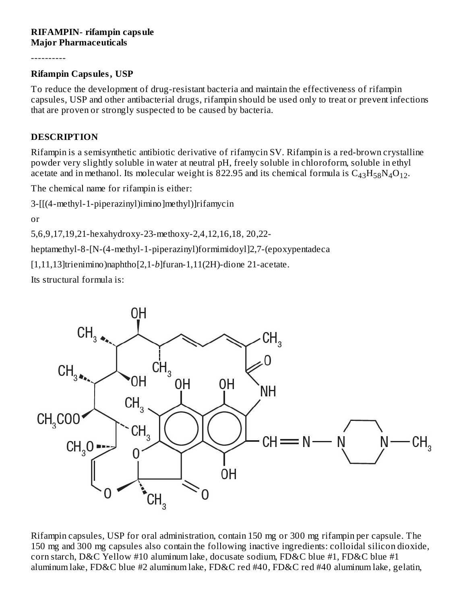#### **RIFAMPIN- rifampin capsule Major Pharmaceuticals**

----------

#### **Rifampin Capsules, USP**

To reduce the development of drug-resistant bacteria and maintain the effectiveness of rifampin capsules, USP and other antibacterial drugs, rifampin should be used only to treat or prevent infections that are proven or strongly suspected to be caused by bacteria.

#### **DESCRIPTION**

Rifampin is a semisynthetic antibiotic derivative of rifamycin SV. Rifampin is a red-brown crystalline powder very slightly soluble in water at neutral pH, freely soluble in chloroform, soluble in ethyl acetate and in methanol. Its molecular weight is 822.95 and its chemical formula is  $\rm{C_{43}H_{58}N_4O_{12}}$ .

The chemical name for rifampin is either:

3-[[(4-methyl-1-piperazinyl)imino]methyl)]rifamycin

or

5,6,9,17,19,21-hexahydroxy-23-methoxy-2,4,12,16,18, 20,22-

heptamethyl-8-[N-(4-methyl-1-piperazinyl)formimidoyl]2,7-(epoxypentadeca

[1,11,13]trienimino)naphtho[2,1-*b*]furan-1,11(2H)-dione 21-acetate.

Its structural formula is:



Rifampin capsules, USP for oral administration, contain 150 mg or 300 mg rifampin per capsule. The 150 mg and 300 mg capsules also contain the following inactive ingredients: colloidal silicon dioxide, corn starch, D&C Yellow #10 aluminum lake, docusate sodium, FD&C blue #1, FD&C blue #1 aluminum lake, FD&C blue #2 aluminum lake, FD&C red #40, FD&C red #40 aluminum lake, gelatin,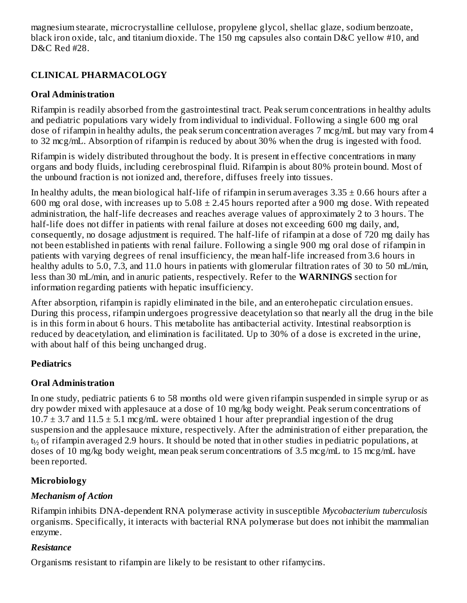magnesium stearate, microcrystalline cellulose, propylene glycol, shellac glaze, sodium benzoate, black iron oxide, talc, and titanium dioxide. The 150 mg capsules also contain D&C yellow #10, and D&C Red #28.

## **CLINICAL PHARMACOLOGY**

## **Oral Administration**

Rifampin is readily absorbed from the gastrointestinal tract. Peak serum concentrations in healthy adults and pediatric populations vary widely from individual to individual. Following a single 600 mg oral dose of rifampin in healthy adults, the peak serum concentration averages 7 mcg/mL but may vary from 4 to 32 mcg/mL. Absorption of rifampin is reduced by about 30% when the drug is ingested with food.

Rifampin is widely distributed throughout the body. It is present in effective concentrations in many organs and body fluids, including cerebrospinal fluid. Rifampin is about 80% protein bound. Most of the unbound fraction is not ionized and, therefore, diffuses freely into tissues.

In healthy adults, the mean biological half-life of rifampin in serum averages  $3.35 \pm 0.66$  hours after a 600 mg oral dose, with increases up to  $5.08 \pm 2.45$  hours reported after a 900 mg dose. With repeated administration, the half-life decreases and reaches average values of approximately 2 to 3 hours. The half-life does not differ in patients with renal failure at doses not exceeding 600 mg daily, and, consequently, no dosage adjustment is required. The half-life of rifampin at a dose of 720 mg daily has not been established in patients with renal failure. Following a single 900 mg oral dose of rifampin in patients with varying degrees of renal insufficiency, the mean half-life increased from 3.6 hours in healthy adults to 5.0, 7.3, and 11.0 hours in patients with glomerular filtration rates of 30 to 50 mL/min, less than 30 mL/min, and in anuric patients, respectively. Refer to the **WARNINGS** section for information regarding patients with hepatic insufficiency.

After absorption, rifampin is rapidly eliminated in the bile, and an enterohepatic circulation ensues. During this process, rifampin undergoes progressive deacetylation so that nearly all the drug in the bile is in this form in about 6 hours. This metabolite has antibacterial activity. Intestinal reabsorption is reduced by deacetylation, and elimination is facilitated. Up to 30% of a dose is excreted in the urine, with about half of this being unchanged drug.

## **Pediatrics**

## **Oral Administration**

In one study, pediatric patients 6 to 58 months old were given rifampin suspended in simple syrup or as dry powder mixed with applesauce at a dose of 10 mg/kg body weight. Peak serum concentrations of  $10.7 \pm 3.7$  and  $11.5 \pm 5.1$  mcg/mL were obtained 1 hour after preprandial ingestion of the drug suspension and the applesauce mixture, respectively. After the administration of either preparation, the  $\mathfrak{t}_{\nu_2}$  of rifampin averaged 2.9 hours. It should be noted that in other studies in pediatric populations, at doses of 10 mg/kg body weight, mean peak serum concentrations of 3.5 mcg/mL to 15 mcg/mL have been reported.

## **Microbiology**

## *Mechanism of Action*

Rifampin inhibits DNA-dependent RNA polymerase activity in susceptible *Mycobacterium tuberculosis* organisms. Specifically, it interacts with bacterial RNA polymerase but does not inhibit the mammalian enzyme.

## *Resistance*

Organisms resistant to rifampin are likely to be resistant to other rifamycins.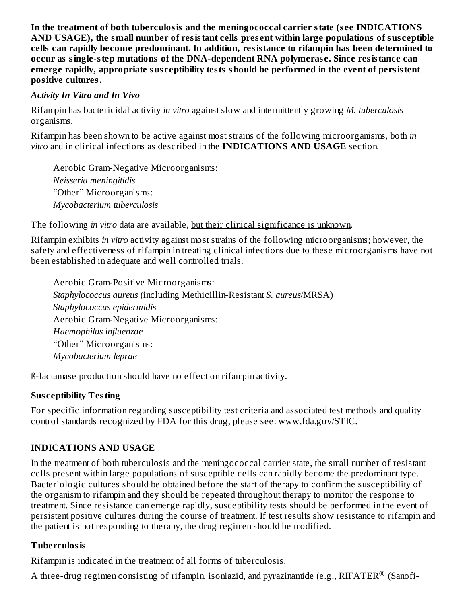**In the treatment of both tuberculosis and the meningococcal carrier state (s ee INDICATIONS AND USAGE), the small number of resistant cells pres ent within large populations of sus ceptible cells can rapidly become predominant. In addition, resistance to rifampin has been determined to occur as single-step mutations of the DNA-dependent RNA polymeras e. Since resistance can emerge rapidly, appropriate sus ceptibility tests should be performed in the event of persistent positive cultures.**

#### *Activity In Vitro and In Vivo*

Rifampin has bactericidal activity *in vitro* against slow and intermittently growing *M. tuberculosis* organisms.

Rifampin has been shown to be active against most strains of the following microorganisms, both *in vitro* and in clinical infections as described in the **INDICATIONS AND USAGE** section.

Aerobic Gram-Negative Microorganisms: *Neisseria meningitidis* "Other" Microorganisms: *Mycobacterium tuberculosis*

The following *in vitro* data are available, but their clinical significance is unknown.

Rifampin exhibits *in vitro* activity against most strains of the following microorganisms; however, the safety and effectiveness of rifampin in treating clinical infections due to these microorganisms have not been established in adequate and well controlled trials.

Aerobic Gram-Positive Microorganisms: *Staphylococcus aureus* (including Methicillin-Resistant *S. aureus*/MRSA) *Staphylococcus epidermidis* Aerobic Gram-Negative Microorganisms: *Haemophilus influenzae* "Other" Microorganisms: *Mycobacterium leprae*

ß-lactamase production should have no effect on rifampin activity.

## **Sus ceptibility Testing**

For specific information regarding susceptibility test criteria and associated test methods and quality control standards recognized by FDA for this drug, please see: www.fda.gov/STIC.

## **INDICATIONS AND USAGE**

In the treatment of both tuberculosis and the meningococcal carrier state, the small number of resistant cells present within large populations of susceptible cells can rapidly become the predominant type. Bacteriologic cultures should be obtained before the start of therapy to confirm the susceptibility of the organism to rifampin and they should be repeated throughout therapy to monitor the response to treatment. Since resistance can emerge rapidly, susceptibility tests should be performed in the event of persistent positive cultures during the course of treatment. If test results show resistance to rifampin and the patient is not responding to therapy, the drug regimen should be modified.

## **Tuberculosis**

Rifampin is indicated in the treatment of all forms of tuberculosis.

A three-drug regimen consisting of rifampin, isoniazid, and pyrazinamide (e.g.,  $\text{RIFATER}^\circledR$  (Sanofi-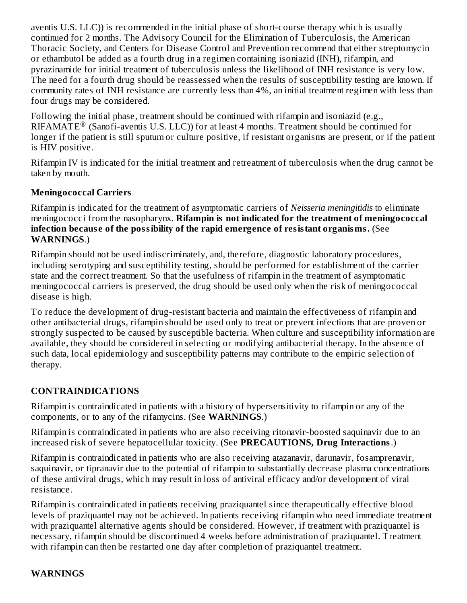aventis U.S. LLC)) is recommended in the initial phase of short-course therapy which is usually continued for 2 months. The Advisory Council for the Elimination of Tuberculosis, the American Thoracic Society, and Centers for Disease Control and Prevention recommend that either streptomycin or ethambutol be added as a fourth drug in a regimen containing isoniazid (INH), rifampin, and pyrazinamide for initial treatment of tuberculosis unless the likelihood of INH resistance is very low. The need for a fourth drug should be reassessed when the results of susceptibility testing are known. If community rates of INH resistance are currently less than 4%, an initial treatment regimen with less than four drugs may be considered.

Following the initial phase, treatment should be continued with rifampin and isoniazid (e.g., RIFAMATE<sup>®</sup> (Sanofi-aventis U.S. LLC)) for at least 4 months. Treatment should be continued for longer if the patient is still sputum or culture positive, if resistant organisms are present, or if the patient is HIV positive.

Rifampin IV is indicated for the initial treatment and retreatment of tuberculosis when the drug cannot be taken by mouth.

#### **Meningococcal Carriers**

Rifampin is indicated for the treatment of asymptomatic carriers of *Neisseria meningitidis* to eliminate meningococci from the nasopharynx. **Rifampin is not indicated for the treatment of meningococcal infection becaus e of the possibility of the rapid emergence of resistant organisms.** (See **WARNINGS**.)

Rifampin should not be used indiscriminately, and, therefore, diagnostic laboratory procedures, including serotyping and susceptibility testing, should be performed for establishment of the carrier state and the correct treatment. So that the usefulness of rifampin in the treatment of asymptomatic meningococcal carriers is preserved, the drug should be used only when the risk of meningococcal disease is high.

To reduce the development of drug-resistant bacteria and maintain the effectiveness of rifampin and other antibacterial drugs, rifampin should be used only to treat or prevent infections that are proven or strongly suspected to be caused by susceptible bacteria. When culture and susceptibility information are available, they should be considered in selecting or modifying antibacterial therapy. In the absence of such data, local epidemiology and susceptibility patterns may contribute to the empiric selection of therapy.

## **CONTRAINDICATIONS**

Rifampin is contraindicated in patients with a history of hypersensitivity to rifampin or any of the components, or to any of the rifamycins. (See **WARNINGS**.)

Rifampin is contraindicated in patients who are also receiving ritonavir-boosted saquinavir due to an increased risk of severe hepatocellular toxicity. (See **PRECAUTIONS, Drug Interactions**.)

Rifampin is contraindicated in patients who are also receiving atazanavir, darunavir, fosamprenavir, saquinavir, or tipranavir due to the potential of rifampin to substantially decrease plasma concentrations of these antiviral drugs, which may result in loss of antiviral efficacy and/or development of viral resistance.

Rifampin is contraindicated in patients receiving praziquantel since therapeutically effective blood levels of praziquantel may not be achieved. In patients receiving rifampin who need immediate treatment with praziquantel alternative agents should be considered. However, if treatment with praziquantel is necessary, rifampin should be discontinued 4 weeks before administration of praziquantel. Treatment with rifampin can then be restarted one day after completion of praziquantel treatment.

#### **WARNINGS**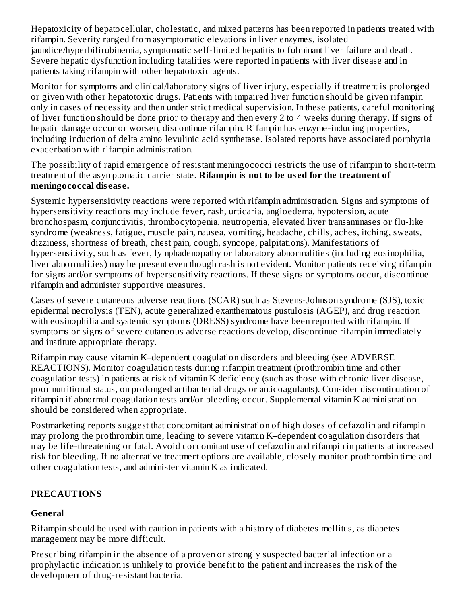Hepatoxicity of hepatocellular, cholestatic, and mixed patterns has been reported in patients treated with rifampin. Severity ranged from asymptomatic elevations in liver enzymes, isolated jaundice/hyperbilirubinemia, symptomatic self-limited hepatitis to fulminant liver failure and death. Severe hepatic dysfunction including fatalities were reported in patients with liver disease and in patients taking rifampin with other hepatotoxic agents.

Monitor for symptoms and clinical/laboratory signs of liver injury, especially if treatment is prolonged or given with other hepatotoxic drugs. Patients with impaired liver function should be given rifampin only in cases of necessity and then under strict medical supervision. In these patients, careful monitoring of liver function should be done prior to therapy and then every 2 to 4 weeks during therapy. If signs of hepatic damage occur or worsen, discontinue rifampin. Rifampin has enzyme-inducing properties, including induction of delta amino levulinic acid synthetase. Isolated reports have associated porphyria exacerbation with rifampin administration.

The possibility of rapid emergence of resistant meningococci restricts the use of rifampin to short-term treatment of the asymptomatic carrier state. **Rifampin is not to be us ed for the treatment of meningococcal dis eas e.**

Systemic hypersensitivity reactions were reported with rifampin administration. Signs and symptoms of hypersensitivity reactions may include fever, rash, urticaria, angioedema, hypotension, acute bronchospasm, conjunctivitis, thrombocytopenia, neutropenia, elevated liver transaminases or flu-like syndrome (weakness, fatigue, muscle pain, nausea, vomiting, headache, chills, aches, itching, sweats, dizziness, shortness of breath, chest pain, cough, syncope, palpitations). Manifestations of hypersensitivity, such as fever, lymphadenopathy or laboratory abnormalities (including eosinophilia, liver abnormalities) may be present even though rash is not evident. Monitor patients receiving rifampin for signs and/or symptoms of hypersensitivity reactions. If these signs or symptoms occur, discontinue rifampin and administer supportive measures.

Cases of severe cutaneous adverse reactions (SCAR) such as Stevens-Johnson syndrome (SJS), toxic epidermal necrolysis (TEN), acute generalized exanthematous pustulosis (AGEP), and drug reaction with eosinophilia and systemic symptoms (DRESS) syndrome have been reported with rifampin. If symptoms or signs of severe cutaneous adverse reactions develop, discontinue rifampin immediately and institute appropriate therapy.

Rifampin may cause vitamin K–dependent coagulation disorders and bleeding (see ADVERSE REACTIONS). Monitor coagulation tests during rifampin treatment (prothrombin time and other coagulation tests) in patients at risk of vitamin K deficiency (such as those with chronic liver disease, poor nutritional status, on prolonged antibacterial drugs or anticoagulants). Consider discontinuation of rifampin if abnormal coagulation tests and/or bleeding occur. Supplemental vitamin K administration should be considered when appropriate.

Postmarketing reports suggest that concomitant administration of high doses of cefazolin and rifampin may prolong the prothrombin time, leading to severe vitamin K–dependent coagulation disorders that may be life-threatening or fatal. Avoid concomitant use of cefazolin and rifampin in patients at increased risk for bleeding. If no alternative treatment options are available, closely monitor prothrombin time and other coagulation tests, and administer vitamin K as indicated.

## **PRECAUTIONS**

## **General**

Rifampin should be used with caution in patients with a history of diabetes mellitus, as diabetes management may be more difficult.

Prescribing rifampin in the absence of a proven or strongly suspected bacterial infection or a prophylactic indication is unlikely to provide benefit to the patient and increases the risk of the development of drug-resistant bacteria.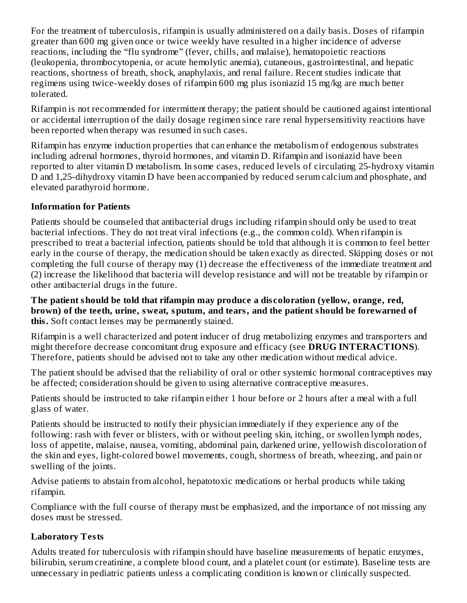For the treatment of tuberculosis, rifampin is usually administered on a daily basis. Doses of rifampin greater than 600 mg given once or twice weekly have resulted in a higher incidence of adverse reactions, including the "flu syndrome" (fever, chills, and malaise), hematopoietic reactions (leukopenia, thrombocytopenia, or acute hemolytic anemia), cutaneous, gastrointestinal, and hepatic reactions, shortness of breath, shock, anaphylaxis, and renal failure. Recent studies indicate that regimens using twice-weekly doses of rifampin 600 mg plus isoniazid 15 mg/kg are much better tolerated.

Rifampin is not recommended for intermittent therapy; the patient should be cautioned against intentional or accidental interruption of the daily dosage regimen since rare renal hypersensitivity reactions have been reported when therapy was resumed in such cases.

Rifampin has enzyme induction properties that can enhance the metabolism of endogenous substrates including adrenal hormones, thyroid hormones, and vitamin D. Rifampin and isoniazid have been reported to alter vitamin D metabolism. In some cases, reduced levels of circulating 25-hydroxy vitamin D and 1,25-dihydroxy vitamin D have been accompanied by reduced serum calcium and phosphate, and elevated parathyroid hormone.

#### **Information for Patients**

Patients should be counseled that antibacterial drugs including rifampin should only be used to treat bacterial infections. They do not treat viral infections (e.g., the common cold). When rifampin is prescribed to treat a bacterial infection, patients should be told that although it is common to feel better early in the course of therapy, the medication should be taken exactly as directed. Skipping doses or not completing the full course of therapy may (1) decrease the effectiveness of the immediate treatment and (2) increase the likelihood that bacteria will develop resistance and will not be treatable by rifampin or other antibacterial drugs in the future.

**The patient should be told that rifampin may produce a dis coloration (yellow, orange, red, brown) of the teeth, urine, sweat, sputum, and tears, and the patient should be forewarned of this.** Soft contact lenses may be permanently stained.

Rifampin is a well characterized and potent inducer of drug metabolizing enzymes and transporters and might therefore decrease concomitant drug exposure and efficacy (see **DRUG INTERACTIONS**). Therefore, patients should be advised not to take any other medication without medical advice.

The patient should be advised that the reliability of oral or other systemic hormonal contraceptives may be affected; consideration should be given to using alternative contraceptive measures.

Patients should be instructed to take rifampin either 1 hour before or 2 hours after a meal with a full glass of water.

Patients should be instructed to notify their physician immediately if they experience any of the following: rash with fever or blisters, with or without peeling skin, itching, or swollen lymph nodes, loss of appetite, malaise, nausea, vomiting, abdominal pain, darkened urine, yellowish discoloration of the skin and eyes, light-colored bowel movements, cough, shortness of breath, wheezing, and pain or swelling of the joints.

Advise patients to abstain from alcohol, hepatotoxic medications or herbal products while taking rifampin.

Compliance with the full course of therapy must be emphasized, and the importance of not missing any doses must be stressed.

#### **Laboratory Tests**

Adults treated for tuberculosis with rifampin should have baseline measurements of hepatic enzymes, bilirubin, serum creatinine, a complete blood count, and a platelet count (or estimate). Baseline tests are unnecessary in pediatric patients unless a complicating condition is known or clinically suspected.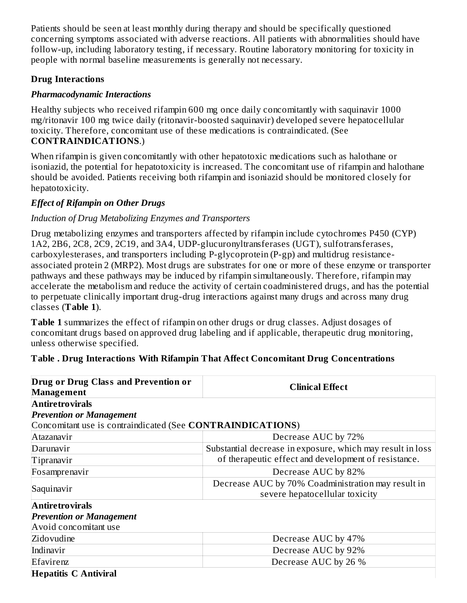Patients should be seen at least monthly during therapy and should be specifically questioned concerning symptoms associated with adverse reactions. All patients with abnormalities should have follow-up, including laboratory testing, if necessary. Routine laboratory monitoring for toxicity in people with normal baseline measurements is generally not necessary.

#### **Drug Interactions**

## *Pharmacodynamic Interactions*

Healthy subjects who received rifampin 600 mg once daily concomitantly with saquinavir 1000 mg/ritonavir 100 mg twice daily (ritonavir-boosted saquinavir) developed severe hepatocellular toxicity. Therefore, concomitant use of these medications is contraindicated. (See **CONTRAINDICATIONS**.)

When rifampin is given concomitantly with other hepatotoxic medications such as halothane or isoniazid, the potential for hepatotoxicity is increased. The concomitant use of rifampin and halothane should be avoided. Patients receiving both rifampin and isoniazid should be monitored closely for hepatotoxicity.

## *Effect of Rifampin on Other Drugs*

## *Induction of Drug Metabolizing Enzymes and Transporters*

Drug metabolizing enzymes and transporters affected by rifampin include cytochromes P450 (CYP) 1A2, 2B6, 2C8, 2C9, 2C19, and 3A4, UDP-glucuronyltransferases (UGT), sulfotransferases, carboxylesterases, and transporters including P-glycoprotein (P-gp) and multidrug resistanceassociated protein 2 (MRP2). Most drugs are substrates for one or more of these enzyme or transporter pathways and these pathways may be induced by rifampin simultaneously. Therefore, rifampin may accelerate the metabolism and reduce the activity of certain coadministered drugs, and has the potential to perpetuate clinically important drug-drug interactions against many drugs and across many drug classes (**Table 1**).

**Table 1** summarizes the effect of rifampin on other drugs or drug classes. Adjust dosages of concomitant drugs based on approved drug labeling and if applicable, therapeutic drug monitoring, unless otherwise specified.

#### **Table . Drug Interactions With Rifampin That Affect Concomitant Drug Concentrations**

| Drug or Drug Class and Prevention or<br>Management         | <b>Clinical Effect</b>                                                               |  |  |  |
|------------------------------------------------------------|--------------------------------------------------------------------------------------|--|--|--|
| <b>Antiretrovirals</b>                                     |                                                                                      |  |  |  |
| <b>Prevention or Management</b>                            |                                                                                      |  |  |  |
| Concomitant use is contraindicated (See CONTRAINDICATIONS) |                                                                                      |  |  |  |
| Atazanavir                                                 | Decrease AUC by 72%                                                                  |  |  |  |
| Darunavir                                                  | Substantial decrease in exposure, which may result in loss                           |  |  |  |
| Tipranavir                                                 | of therapeutic effect and development of resistance.                                 |  |  |  |
| Fosamprenavir                                              | Decrease AUC by 82%                                                                  |  |  |  |
| Saquinavir                                                 | Decrease AUC by 70% Coadministration may result in<br>severe hepatocellular toxicity |  |  |  |
| <b>Antiretrovirals</b>                                     |                                                                                      |  |  |  |
| <b>Prevention or Management</b>                            |                                                                                      |  |  |  |
| Avoid concomitant use                                      |                                                                                      |  |  |  |
| Zidovudine                                                 | Decrease AUC by 47%                                                                  |  |  |  |
| Indinavir                                                  | Decrease AUC by 92%                                                                  |  |  |  |
| Efavirenz                                                  | Decrease AUC by 26 %                                                                 |  |  |  |
| <b>Hepatitis C Antiviral</b>                               |                                                                                      |  |  |  |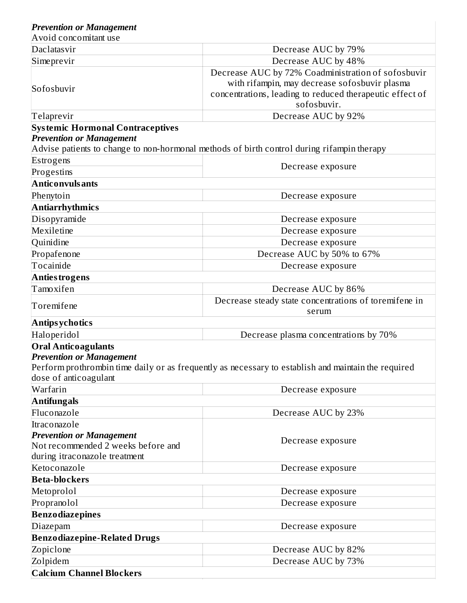#### *Prevention or Management*

Avoid concomitant use

| Avoid concomitant use                                                                                                                                                                         |                                                                                                                                                                                |  |  |  |
|-----------------------------------------------------------------------------------------------------------------------------------------------------------------------------------------------|--------------------------------------------------------------------------------------------------------------------------------------------------------------------------------|--|--|--|
| Daclatasvir                                                                                                                                                                                   | Decrease AUC by 79%                                                                                                                                                            |  |  |  |
| Simeprevir                                                                                                                                                                                    | Decrease AUC by 48%                                                                                                                                                            |  |  |  |
| Sofosbuvir                                                                                                                                                                                    | Decrease AUC by 72% Coadministration of sofosbuvir<br>with rifampin, may decrease sofosbuvir plasma<br>concentrations, leading to reduced therapeutic effect of<br>sofosbuvir. |  |  |  |
| Telaprevir                                                                                                                                                                                    | Decrease AUC by 92%                                                                                                                                                            |  |  |  |
| <b>Systemic Hormonal Contraceptives</b>                                                                                                                                                       |                                                                                                                                                                                |  |  |  |
| <b>Prevention or Management</b>                                                                                                                                                               |                                                                                                                                                                                |  |  |  |
|                                                                                                                                                                                               | Advise patients to change to non-hormonal methods of birth control during rifampin therapy                                                                                     |  |  |  |
| Estrogens                                                                                                                                                                                     |                                                                                                                                                                                |  |  |  |
| Progestins                                                                                                                                                                                    | Decrease exposure                                                                                                                                                              |  |  |  |
| Anticonvuls ants                                                                                                                                                                              |                                                                                                                                                                                |  |  |  |
| Phenytoin                                                                                                                                                                                     | Decrease exposure                                                                                                                                                              |  |  |  |
| <b>Antiarrhythmics</b>                                                                                                                                                                        |                                                                                                                                                                                |  |  |  |
| Disopyramide                                                                                                                                                                                  | Decrease exposure                                                                                                                                                              |  |  |  |
| Mexiletine                                                                                                                                                                                    | Decrease exposure                                                                                                                                                              |  |  |  |
| Quinidine                                                                                                                                                                                     | Decrease exposure                                                                                                                                                              |  |  |  |
| Propafenone                                                                                                                                                                                   | Decrease AUC by 50% to 67%                                                                                                                                                     |  |  |  |
| Tocainide                                                                                                                                                                                     | Decrease exposure                                                                                                                                                              |  |  |  |
| Anties trogens                                                                                                                                                                                |                                                                                                                                                                                |  |  |  |
| Tamoxifen                                                                                                                                                                                     | Decrease AUC by 86%                                                                                                                                                            |  |  |  |
| Toremifene                                                                                                                                                                                    | Decrease steady state concentrations of toremifene in                                                                                                                          |  |  |  |
|                                                                                                                                                                                               | serum                                                                                                                                                                          |  |  |  |
| Antips ychotics                                                                                                                                                                               |                                                                                                                                                                                |  |  |  |
| Haloperidol                                                                                                                                                                                   | Decrease plasma concentrations by 70%                                                                                                                                          |  |  |  |
| <b>Oral Anticoagulants</b><br><b>Prevention or Management</b><br>Perform prothrombin time daily or as frequently as necessary to establish and maintain the required<br>dose of anticoagulant |                                                                                                                                                                                |  |  |  |
| Warfarin                                                                                                                                                                                      | Decrease exposure                                                                                                                                                              |  |  |  |
| <b>Antifungals</b>                                                                                                                                                                            |                                                                                                                                                                                |  |  |  |
| Fluconazole                                                                                                                                                                                   | Decrease AUC by 23%                                                                                                                                                            |  |  |  |
| Itraconazole                                                                                                                                                                                  |                                                                                                                                                                                |  |  |  |
| <b>Prevention or Management</b>                                                                                                                                                               | Decrease exposure                                                                                                                                                              |  |  |  |
| Not recommended 2 weeks before and<br>during itraconazole treatment                                                                                                                           |                                                                                                                                                                                |  |  |  |
| Ketoconazole                                                                                                                                                                                  | Decrease exposure                                                                                                                                                              |  |  |  |
| <b>Beta-blockers</b>                                                                                                                                                                          |                                                                                                                                                                                |  |  |  |
| Metoprolol                                                                                                                                                                                    | Decrease exposure                                                                                                                                                              |  |  |  |
| Propranolol                                                                                                                                                                                   | Decrease exposure                                                                                                                                                              |  |  |  |
| <b>Benzodiazepines</b>                                                                                                                                                                        |                                                                                                                                                                                |  |  |  |
| Diazepam                                                                                                                                                                                      | Decrease exposure                                                                                                                                                              |  |  |  |
| <b>Benzodiazepine-Related Drugs</b>                                                                                                                                                           |                                                                                                                                                                                |  |  |  |
| Zopiclone                                                                                                                                                                                     | Decrease AUC by 82%                                                                                                                                                            |  |  |  |
| Zolpidem                                                                                                                                                                                      | Decrease AUC by 73%                                                                                                                                                            |  |  |  |
| <b>Calcium Channel Blockers</b>                                                                                                                                                               |                                                                                                                                                                                |  |  |  |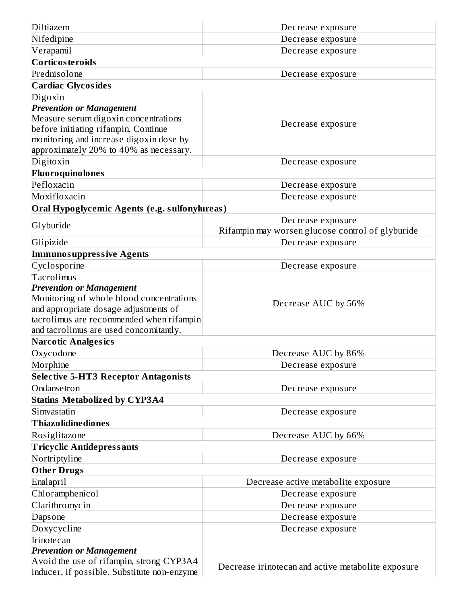| Diltiazem                                     | Decrease exposure                                  |  |  |  |  |
|-----------------------------------------------|----------------------------------------------------|--|--|--|--|
| Nifedipine                                    | Decrease exposure                                  |  |  |  |  |
| Verapamil                                     | Decrease exposure                                  |  |  |  |  |
| <b>Corticosteroids</b>                        |                                                    |  |  |  |  |
| Prednisolone                                  | Decrease exposure                                  |  |  |  |  |
| <b>Cardiac Glycosides</b>                     |                                                    |  |  |  |  |
| Digoxin                                       |                                                    |  |  |  |  |
| <b>Prevention or Management</b>               |                                                    |  |  |  |  |
| Measure serum digoxin concentrations          | Decrease exposure                                  |  |  |  |  |
| before initiating rifampin. Continue          |                                                    |  |  |  |  |
| monitoring and increase digoxin dose by       |                                                    |  |  |  |  |
| approximately 20% to 40% as necessary.        |                                                    |  |  |  |  |
| Digitoxin                                     | Decrease exposure                                  |  |  |  |  |
| Fluoroquinolones                              |                                                    |  |  |  |  |
| Pefloxacin                                    | Decrease exposure                                  |  |  |  |  |
| Moxifloxacin                                  | Decrease exposure                                  |  |  |  |  |
| Oral Hypoglycemic Agents (e.g. sulfonylureas) |                                                    |  |  |  |  |
|                                               | Decrease exposure                                  |  |  |  |  |
| Glyburide                                     | Rifampin may worsen glucose control of glyburide   |  |  |  |  |
| Glipizide                                     | Decrease exposure                                  |  |  |  |  |
| <b>Immunosuppressive Agents</b>               |                                                    |  |  |  |  |
| Cyclosporine                                  | Decrease exposure                                  |  |  |  |  |
| Tacrolimus                                    |                                                    |  |  |  |  |
| <b>Prevention or Management</b>               |                                                    |  |  |  |  |
| Monitoring of whole blood concentrations      | Decrease AUC by 56%                                |  |  |  |  |
| and appropriate dosage adjustments of         |                                                    |  |  |  |  |
| tacrolimus are recommended when rifampin      |                                                    |  |  |  |  |
| and tacrolimus are used concomitantly.        |                                                    |  |  |  |  |
| <b>Narcotic Analgesics</b>                    |                                                    |  |  |  |  |
| Oxycodone                                     | Decrease AUC by 86%                                |  |  |  |  |
| Morphine                                      | Decrease exposure                                  |  |  |  |  |
| <b>Selective 5-HT3 Receptor Antagonists</b>   |                                                    |  |  |  |  |
| Ondansetron                                   | Decrease exposure                                  |  |  |  |  |
| <b>Statins Metabolized by CYP3A4</b>          |                                                    |  |  |  |  |
| Simvastatin                                   | Decrease exposure                                  |  |  |  |  |
| <b>Thiazolidinediones</b>                     |                                                    |  |  |  |  |
| Rosiglitazone                                 | Decrease AUC by 66%                                |  |  |  |  |
| <b>Tricyclic Antidepressants</b>              |                                                    |  |  |  |  |
| Nortriptyline                                 | Decrease exposure                                  |  |  |  |  |
| <b>Other Drugs</b>                            |                                                    |  |  |  |  |
| Enalapril                                     | Decrease active metabolite exposure                |  |  |  |  |
| Chloramphenicol                               | Decrease exposure                                  |  |  |  |  |
| Clarithromycin                                | Decrease exposure                                  |  |  |  |  |
| Dapsone                                       | Decrease exposure                                  |  |  |  |  |
| Doxycycline                                   | Decrease exposure                                  |  |  |  |  |
| Irinotecan                                    |                                                    |  |  |  |  |
| <b>Prevention or Management</b>               |                                                    |  |  |  |  |
| Avoid the use of rifampin, strong CYP3A4      |                                                    |  |  |  |  |
| inducer, if possible. Substitute non-enzyme   | Decrease irinotecan and active metabolite exposure |  |  |  |  |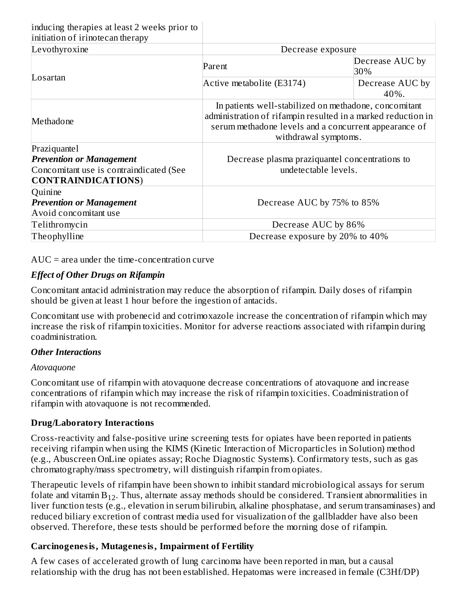| inducing therapies at least 2 weeks prior to                  |                                                                                                                                                                                                        |                         |  |  |
|---------------------------------------------------------------|--------------------------------------------------------------------------------------------------------------------------------------------------------------------------------------------------------|-------------------------|--|--|
| initiation of irinotecan therapy                              |                                                                                                                                                                                                        |                         |  |  |
| Levothyroxine                                                 | Decrease exposure                                                                                                                                                                                      |                         |  |  |
| Losartan                                                      | Parent                                                                                                                                                                                                 | Decrease AUC by<br>30%  |  |  |
|                                                               | Active metabolite (E3174)                                                                                                                                                                              | Decrease AUC by<br>40%. |  |  |
| Methadone                                                     | In patients well-stabilized on methadone, concomitant<br>administration of rifampin resulted in a marked reduction in<br>serum methadone levels and a concurrent appearance of<br>withdrawal symptoms. |                         |  |  |
| Praziquantel                                                  |                                                                                                                                                                                                        |                         |  |  |
| <b>Prevention or Management</b>                               | Decrease plasma praziquantel concentrations to                                                                                                                                                         |                         |  |  |
| Concomitant use is contraindicated (See<br>CONTRAINDICATIONS) | undetectable levels.                                                                                                                                                                                   |                         |  |  |
| Quinine                                                       |                                                                                                                                                                                                        |                         |  |  |
| <b>Prevention or Management</b>                               | Decrease AUC by 75% to 85%                                                                                                                                                                             |                         |  |  |
| Avoid concomitant use                                         |                                                                                                                                                                                                        |                         |  |  |
| Telithromycin                                                 | Decrease AUC by 86%                                                                                                                                                                                    |                         |  |  |
| Theophylline                                                  | Decrease exposure by 20% to 40%                                                                                                                                                                        |                         |  |  |

 $AUC = area$  under the time-concentration curve

## *Effect of Other Drugs on Rifampin*

Concomitant antacid administration may reduce the absorption of rifampin. Daily doses of rifampin should be given at least 1 hour before the ingestion of antacids.

Concomitant use with probenecid and cotrimoxazole increase the concentration of rifampin which may increase the risk of rifampin toxicities. Monitor for adverse reactions associated with rifampin during coadministration.

#### *Other Interactions*

#### *Atovaquone*

Concomitant use of rifampin with atovaquone decrease concentrations of atovaquone and increase concentrations of rifampin which may increase the risk of rifampin toxicities. Coadministration of rifampin with atovaquone is not recommended.

#### **Drug/Laboratory Interactions**

Cross-reactivity and false-positive urine screening tests for opiates have been reported in patients receiving rifampin when using the KIMS (Kinetic Interaction of Microparticles in Solution) method (e.g., Abuscreen OnLine opiates assay; Roche Diagnostic Systems). Confirmatory tests, such as gas chromatography/mass spectrometry, will distinguish rifampin from opiates.

Therapeutic levels of rifampin have been shown to inhibit standard microbiological assays for serum folate and vitamin  $B_{12}$ . Thus, alternate assay methods should be considered. Transient abnormalities in liver function tests (e.g., elevation in serum bilirubin, alkaline phosphatase, and serum transaminases) and reduced biliary excretion of contrast media used for visualization of the gallbladder have also been observed. Therefore, these tests should be performed before the morning dose of rifampin.

#### **Carcinogenesis, Mutagenesis, Impairment of Fertility**

A few cases of accelerated growth of lung carcinoma have been reported in man, but a causal relationship with the drug has not been established. Hepatomas were increased in female (C3Hf/DP)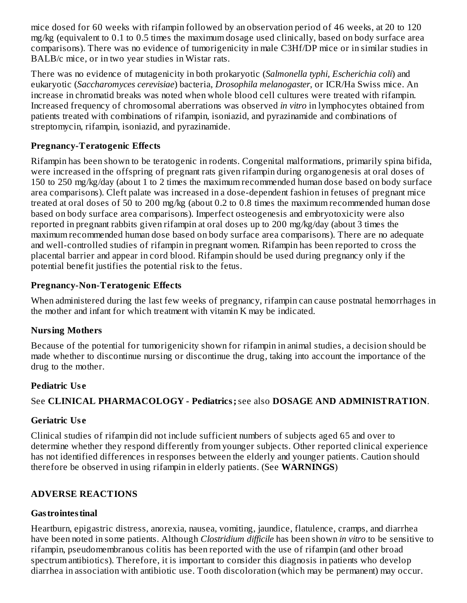mice dosed for 60 weeks with rifampin followed by an observation period of 46 weeks, at 20 to 120 mg/kg (equivalent to 0.1 to 0.5 times the maximum dosage used clinically, based on body surface area comparisons). There was no evidence of tumorigenicity in male C3Hf/DP mice or in similar studies in BALB/c mice, or in two year studies in Wistar rats.

There was no evidence of mutagenicity in both prokaryotic (*Salmonella typhi, Escherichia coli*) and eukaryotic (*Saccharomyces cerevisiae*) bacteria, *Drosophila melanogaster,* or ICR/Ha Swiss mice. An increase in chromatid breaks was noted when whole blood cell cultures were treated with rifampin. Increased frequency of chromosomal aberrations was observed *in vitro* in lymphocytes obtained from patients treated with combinations of rifampin, isoniazid, and pyrazinamide and combinations of streptomycin, rifampin, isoniazid, and pyrazinamide.

## **Pregnancy-Teratogenic Effects**

Rifampin has been shown to be teratogenic in rodents. Congenital malformations, primarily spina bifida, were increased in the offspring of pregnant rats given rifampin during organogenesis at oral doses of 150 to 250 mg/kg/day (about 1 to 2 times the maximum recommended human dose based on body surface area comparisons). Cleft palate was increased in a dose-dependent fashion in fetuses of pregnant mice treated at oral doses of 50 to 200 mg/kg (about 0.2 to 0.8 times the maximum recommended human dose based on body surface area comparisons). Imperfect osteogenesis and embryotoxicity were also reported in pregnant rabbits given rifampin at oral doses up to 200 mg/kg/day (about 3 times the maximum recommended human dose based on body surface area comparisons). There are no adequate and well-controlled studies of rifampin in pregnant women. Rifampin has been reported to cross the placental barrier and appear in cord blood. Rifampin should be used during pregnancy only if the potential benefit justifies the potential risk to the fetus.

## **Pregnancy-Non-Teratogenic Effects**

When administered during the last few weeks of pregnancy, rifampin can cause postnatal hemorrhages in the mother and infant for which treatment with vitamin K may be indicated.

## **Nursing Mothers**

Because of the potential for tumorigenicity shown for rifampin in animal studies, a decision should be made whether to discontinue nursing or discontinue the drug, taking into account the importance of the drug to the mother.

## **Pediatric Us e**

## See **CLINICAL PHARMACOLOGY - Pediatrics;**see also **DOSAGE AND ADMINISTRATION**.

## **Geriatric Us e**

Clinical studies of rifampin did not include sufficient numbers of subjects aged 65 and over to determine whether they respond differently from younger subjects. Other reported clinical experience has not identified differences in responses between the elderly and younger patients. Caution should therefore be observed in using rifampin in elderly patients. (See **WARNINGS**)

## **ADVERSE REACTIONS**

## **Gastrointestinal**

Heartburn, epigastric distress, anorexia, nausea, vomiting, jaundice, flatulence, cramps, and diarrhea have been noted in some patients. Although *Clostridium difficile* has been shown *in vitro* to be sensitive to rifampin, pseudomembranous colitis has been reported with the use of rifampin (and other broad spectrum antibiotics). Therefore, it is important to consider this diagnosis in patients who develop diarrhea in association with antibiotic use. Tooth discoloration (which may be permanent) may occur.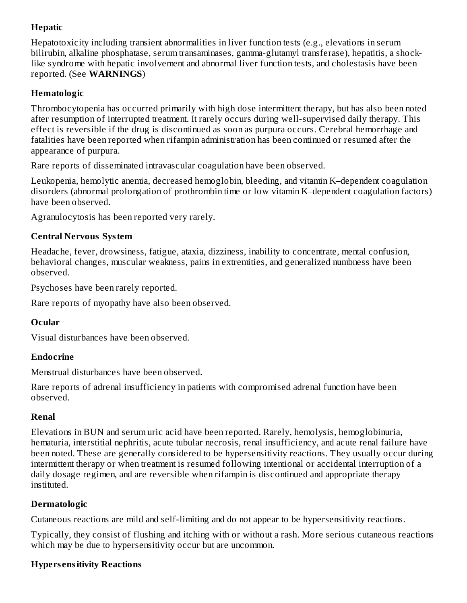## **Hepatic**

Hepatotoxicity including transient abnormalities in liver function tests (e.g., elevations in serum bilirubin, alkaline phosphatase, serum transaminases, gamma-glutamyl transferase), hepatitis, a shocklike syndrome with hepatic involvement and abnormal liver function tests, and cholestasis have been reported. (See **WARNINGS**)

## **Hematologic**

Thrombocytopenia has occurred primarily with high dose intermittent therapy, but has also been noted after resumption of interrupted treatment. It rarely occurs during well-supervised daily therapy. This effect is reversible if the drug is discontinued as soon as purpura occurs. Cerebral hemorrhage and fatalities have been reported when rifampin administration has been continued or resumed after the appearance of purpura.

Rare reports of disseminated intravascular coagulation have been observed.

Leukopenia, hemolytic anemia, decreased hemoglobin, bleeding, and vitamin K–dependent coagulation disorders (abnormal prolongation of prothrombin time or low vitamin K–dependent coagulation factors) have been observed.

Agranulocytosis has been reported very rarely.

## **Central Nervous System**

Headache, fever, drowsiness, fatigue, ataxia, dizziness, inability to concentrate, mental confusion, behavioral changes, muscular weakness, pains in extremities, and generalized numbness have been observed.

Psychoses have been rarely reported.

Rare reports of myopathy have also been observed.

## **Ocular**

Visual disturbances have been observed.

## **Endocrine**

Menstrual disturbances have been observed.

Rare reports of adrenal insufficiency in patients with compromised adrenal function have been observed.

## **Renal**

Elevations in BUN and serum uric acid have been reported. Rarely, hemolysis, hemoglobinuria, hematuria, interstitial nephritis, acute tubular necrosis, renal insufficiency, and acute renal failure have been noted. These are generally considered to be hypersensitivity reactions. They usually occur during intermittent therapy or when treatment is resumed following intentional or accidental interruption of a daily dosage regimen, and are reversible when rifampin is discontinued and appropriate therapy instituted.

## **Dermatologic**

Cutaneous reactions are mild and self-limiting and do not appear to be hypersensitivity reactions.

Typically, they consist of flushing and itching with or without a rash. More serious cutaneous reactions which may be due to hypersensitivity occur but are uncommon.

## **Hypers ensitivity Reactions**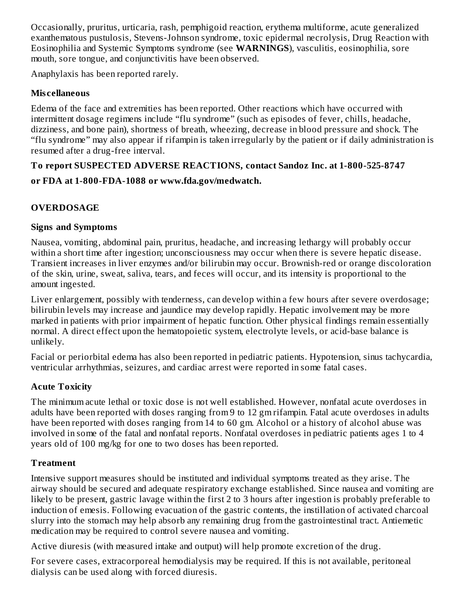Occasionally, pruritus, urticaria, rash, pemphigoid reaction, erythema multiforme, acute generalized exanthematous pustulosis, Stevens-Johnson syndrome, toxic epidermal necrolysis, Drug Reaction with Eosinophilia and Systemic Symptoms syndrome (see **WARNINGS**), vasculitis, eosinophilia, sore mouth, sore tongue, and conjunctivitis have been observed.

Anaphylaxis has been reported rarely.

## **Mis cellaneous**

Edema of the face and extremities has been reported. Other reactions which have occurred with intermittent dosage regimens include "flu syndrome" (such as episodes of fever, chills, headache, dizziness, and bone pain), shortness of breath, wheezing, decrease in blood pressure and shock. The "flu syndrome" may also appear if rifampin is taken irregularly by the patient or if daily administration is resumed after a drug-free interval.

# **To report SUSPECTED ADVERSE REACTIONS, contact Sandoz Inc. at 1-800-525-8747**

## **or FDA at 1-800-FDA-1088 or www.fda.gov/medwatch.**

# **OVERDOSAGE**

## **Signs and Symptoms**

Nausea, vomiting, abdominal pain, pruritus, headache, and increasing lethargy will probably occur within a short time after ingestion; unconsciousness may occur when there is severe hepatic disease. Transient increases in liver enzymes and/or bilirubin may occur. Brownish-red or orange discoloration of the skin, urine, sweat, saliva, tears, and feces will occur, and its intensity is proportional to the amount ingested.

Liver enlargement, possibly with tenderness, can develop within a few hours after severe overdosage; bilirubin levels may increase and jaundice may develop rapidly. Hepatic involvement may be more marked in patients with prior impairment of hepatic function. Other physical findings remain essentially normal. A direct effect upon the hematopoietic system, electrolyte levels, or acid-base balance is unlikely.

Facial or periorbital edema has also been reported in pediatric patients. Hypotension, sinus tachycardia, ventricular arrhythmias, seizures, and cardiac arrest were reported in some fatal cases.

# **Acute Toxicity**

The minimum acute lethal or toxic dose is not well established. However, nonfatal acute overdoses in adults have been reported with doses ranging from 9 to 12 gm rifampin. Fatal acute overdoses in adults have been reported with doses ranging from 14 to 60 gm. Alcohol or a history of alcohol abuse was involved in some of the fatal and nonfatal reports. Nonfatal overdoses in pediatric patients ages 1 to 4 years old of 100 mg/kg for one to two doses has been reported.

# **Treatment**

Intensive support measures should be instituted and individual symptoms treated as they arise. The airway should be secured and adequate respiratory exchange established. Since nausea and vomiting are likely to be present, gastric lavage within the first 2 to 3 hours after ingestion is probably preferable to induction of emesis. Following evacuation of the gastric contents, the instillation of activated charcoal slurry into the stomach may help absorb any remaining drug from the gastrointestinal tract. Antiemetic medication may be required to control severe nausea and vomiting.

Active diuresis (with measured intake and output) will help promote excretion of the drug.

For severe cases, extracorporeal hemodialysis may be required. If this is not available, peritoneal dialysis can be used along with forced diuresis.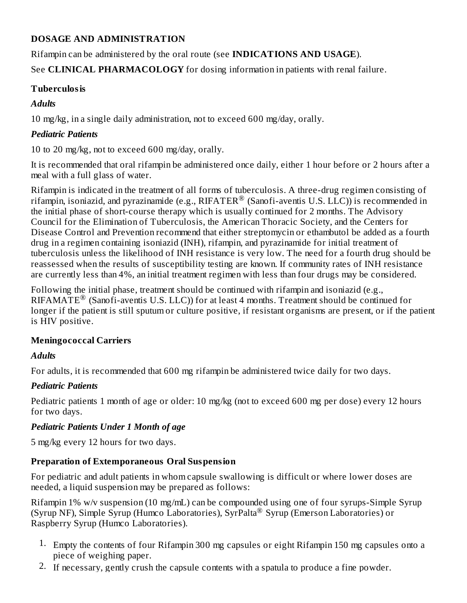## **DOSAGE AND ADMINISTRATION**

Rifampin can be administered by the oral route (see **INDICATIONS AND USAGE**).

See **CLINICAL PHARMACOLOGY** for dosing information in patients with renal failure.

#### **Tuberculosis**

## *Adults*

10 mg/kg, in a single daily administration, not to exceed 600 mg/day, orally.

## *Pediatric Patients*

10 to 20 mg/kg, not to exceed 600 mg/day, orally.

It is recommended that oral rifampin be administered once daily, either 1 hour before or 2 hours after a meal with a full glass of water.

Rifampin is indicated in the treatment of all forms of tuberculosis. A three-drug regimen consisting of rifampin, isoniazid, and pyrazinamide (e.g., RIFATER® (Sanofi-aventis U.S. LLC)) is recommended in the initial phase of short-course therapy which is usually continued for 2 months. The Advisory Council for the Elimination of Tuberculosis, the American Thoracic Society, and the Centers for Disease Control and Prevention recommend that either streptomycin or ethambutol be added as a fourth drug in a regimen containing isoniazid (INH), rifampin, and pyrazinamide for initial treatment of tuberculosis unless the likelihood of INH resistance is very low. The need for a fourth drug should be reassessed when the results of susceptibility testing are known. If community rates of INH resistance are currently less than 4%, an initial treatment regimen with less than four drugs may be considered.

Following the initial phase, treatment should be continued with rifampin and isoniazid (e.g., RIFAMATE<sup>®</sup> (Sanofi-aventis U.S. LLC)) for at least 4 months. Treatment should be continued for longer if the patient is still sputum or culture positive, if resistant organisms are present, or if the patient is HIV positive.

## **Meningococcal Carriers**

## *Adults*

For adults, it is recommended that 600 mg rifampin be administered twice daily for two days.

## *Pediatric Patients*

Pediatric patients 1 month of age or older: 10 mg/kg (not to exceed 600 mg per dose) every 12 hours for two days.

## *Pediatric Patients Under 1 Month of age*

5 mg/kg every 12 hours for two days.

## **Preparation of Extemporaneous Oral Suspension**

For pediatric and adult patients in whom capsule swallowing is difficult or where lower doses are needed, a liquid suspension may be prepared as follows:

Rifampin 1% w/v suspension (10 mg/mL) can be compounded using one of four syrups-Simple Syrup (Syrup NF), Simple Syrup (Humco Laboratories), SyrPalta® Syrup (Emerson Laboratories) or Raspberry Syrup (Humco Laboratories).

- 1. Empty the contents of four Rifampin 300 mg capsules or eight Rifampin 150 mg capsules onto a piece of weighing paper.
- 2. If necessary, gently crush the capsule contents with a spatula to produce a fine powder.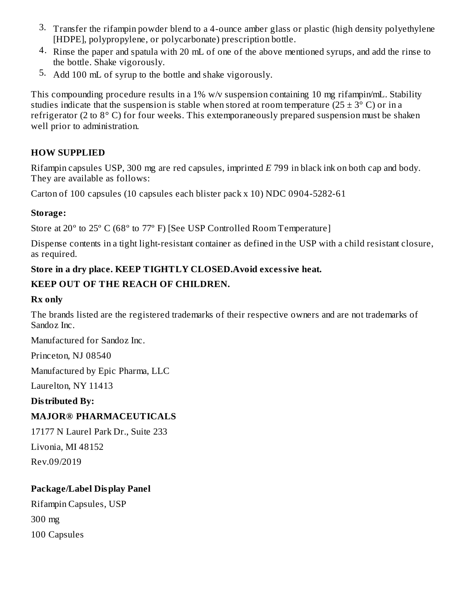- 3. Transfer the rifampin powder blend to a 4-ounce amber glass or plastic (high density polyethylene [HDPE], polypropylene, or polycarbonate) prescription bottle.
- 4. Rinse the paper and spatula with 20 mL of one of the above mentioned syrups, and add the rinse to the bottle. Shake vigorously.
- 5. Add 100 mL of syrup to the bottle and shake vigorously.

This compounding procedure results in a 1% w/v suspension containing 10 mg rifampin/mL. Stability studies indicate that the suspension is stable when stored at room temperature (25  $\pm$  3° C) or in a refrigerator (2 to 8° C) for four weeks. This extemporaneously prepared suspension must be shaken well prior to administration.

#### **HOW SUPPLIED**

Rifampin capsules USP, 300 mg are red capsules, imprinted *E* 799 in black ink on both cap and body. They are available as follows:

Carton of 100 capsules (10 capsules each blister pack x 10) NDC 0904-5282-61

#### **Storage:**

Store at 20<sup>°</sup> to 25<sup>°</sup> C (68<sup>°</sup> to 77<sup>°</sup> F) [See USP Controlled Room Temperature]

Dispense contents in a tight light-resistant container as defined in the USP with a child resistant closure, as required.

#### **Store in a dry place. KEEP TIGHTLY CLOSED.Avoid excessive heat.**

## **KEEP OUT OF THE REACH OF CHILDREN.**

#### **Rx only**

The brands listed are the registered trademarks of their respective owners and are not trademarks of Sandoz Inc.

Manufactured for Sandoz Inc.

Princeton, NJ 08540

Manufactured by Epic Pharma, LLC

Laurelton, NY 11413

## **Distributed By:**

## **MAJOR® PHARMACEUTICALS**

17177 N Laurel Park Dr., Suite 233

Livonia, MI 48152

Rev.09/2019

## **Package/Label Display Panel**

Rifampin Capsules, USP 300 mg 100 Capsules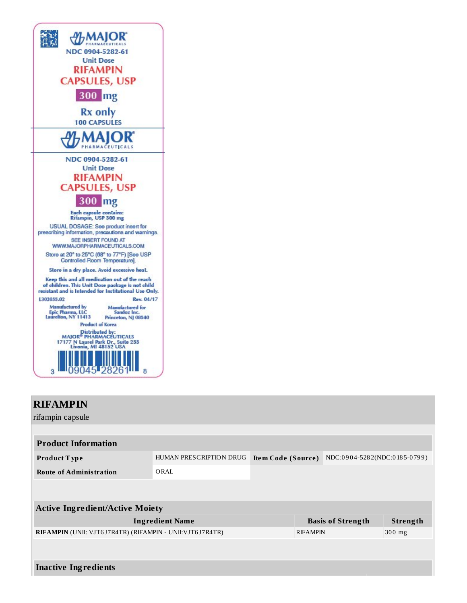

| <b>RIFAMPIN</b>                                           |                         |                           |                          |                              |          |
|-----------------------------------------------------------|-------------------------|---------------------------|--------------------------|------------------------------|----------|
| rifampin capsule                                          |                         |                           |                          |                              |          |
|                                                           |                         |                           |                          |                              |          |
| <b>Product Information</b>                                |                         |                           |                          |                              |          |
| Product Type                                              | HUMAN PRESCRIPTION DRUG | <b>Item Code (Source)</b> |                          | NDC:0904-5282(NDC:0185-0799) |          |
| <b>Route of Administration</b>                            | ORAL                    |                           |                          |                              |          |
|                                                           |                         |                           |                          |                              |          |
|                                                           |                         |                           |                          |                              |          |
| <b>Active Ingredient/Active Moiety</b>                    |                         |                           |                          |                              |          |
| <b>Ingredient Name</b>                                    |                         |                           | <b>Basis of Strength</b> |                              | Strength |
| RIFAMPIN (UNII: VJT6J7R4TR) (RIFAMPIN - UNII: VJT6J7R4TR) |                         |                           | <b>RIFAMPIN</b>          |                              | $300$ mg |
|                                                           |                         |                           |                          |                              |          |
|                                                           |                         |                           |                          |                              |          |
| <b>Inactive Ingredients</b>                               |                         |                           |                          |                              |          |